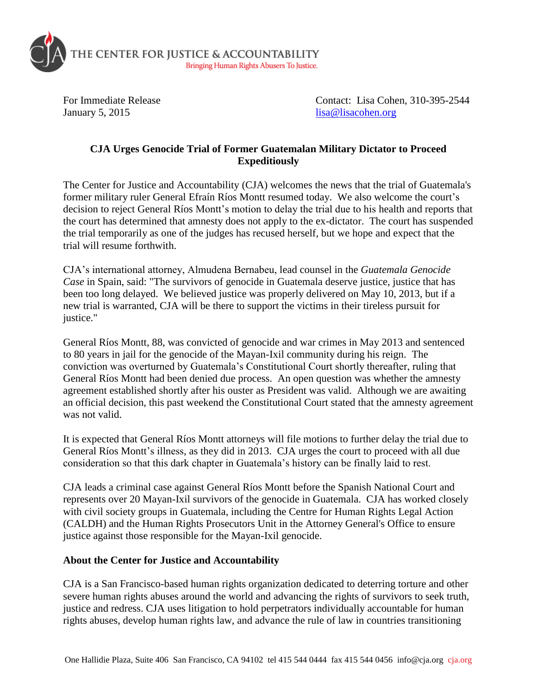

January 5, 2015 lisa @lisacohen.org

For Immediate Release Contact: Lisa Cohen, 310-395-2544

## **CJA Urges Genocide Trial of Former Guatemalan Military Dictator to Proceed Expeditiously**

The Center for Justice and Accountability (CJA) welcomes the news that the trial of Guatemala's former military ruler General Efraín Ríos Montt resumed today. We also welcome the court's decision to reject General Ríos Montt's motion to delay the trial due to his health and reports that the court has determined that amnesty does not apply to the ex-dictator. The court has suspended the trial temporarily as one of the judges has recused herself, but we hope and expect that the trial will resume forthwith.

CJA's international attorney, Almudena Bernabeu, lead counsel in the *Guatemala Genocide Case* in Spain, said: "The survivors of genocide in Guatemala deserve justice, justice that has been too long delayed. We believed justice was properly delivered on May 10, 2013, but if a new trial is warranted, CJA will be there to support the victims in their tireless pursuit for justice."

General Ríos Montt, 88, was convicted of genocide and war crimes in May 2013 and sentenced to 80 years in jail for the genocide of the Mayan-Ixil community during his reign. The conviction was overturned by Guatemala's Constitutional Court shortly thereafter, ruling that General Ríos Montt had been denied due process. An open question was whether the amnesty agreement established shortly after his ouster as President was valid. Although we are awaiting an official decision, this past weekend the Constitutional Court stated that the amnesty agreement was not valid.

It is expected that General Ríos Montt attorneys will file motions to further delay the trial due to General Ríos Montt's illness, as they did in 2013. CJA urges the court to proceed with all due consideration so that this dark chapter in Guatemala's history can be finally laid to rest.

CJA leads a criminal case against General Ríos Montt before the Spanish National Court and represents over 20 Mayan-Ixil survivors of the genocide in Guatemala. CJA has worked closely with civil society groups in Guatemala, including the Centre for Human Rights Legal Action (CALDH) and the Human Rights Prosecutors Unit in the Attorney General's Office to ensure justice against those responsible for the Mayan-Ixil genocide.

## **About the Center for Justice and Accountability**

CJA is a San Francisco-based human rights organization dedicated to deterring torture and other severe human rights abuses around the world and advancing the rights of survivors to seek truth, justice and redress. CJA uses litigation to hold perpetrators individually accountable for human rights abuses, develop human rights law, and advance the rule of law in countries transitioning